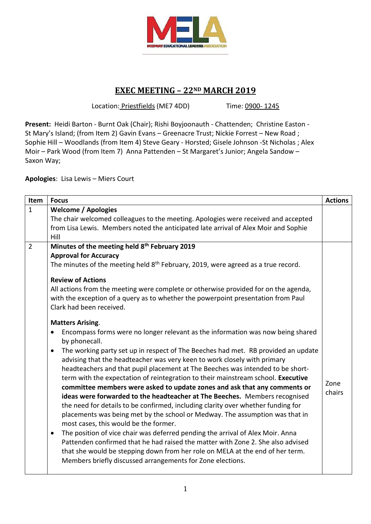

# **EXEC MEETING – 22ND MARCH 2019**

Location: Priestfields (ME7 4DD) Time: 0900-1245

**Present:** Heidi Barton - Burnt Oak (Chair); Rishi Boyjoonauth - Chattenden; Christine Easton - St Mary's Island; (from Item 2) Gavin Evans – Greenacre Trust; Nickie Forrest – New Road ; Sophie Hill – Woodlands (from Item 4) Steve Geary - Horsted; Gisele Johnson -St Nicholas ; Alex Moir – Park Wood (from Item 7) Anna Pattenden – St Margaret's Junior; Angela Sandow – Saxon Way;

**Apologies**: Lisa Lewis – Miers Court

| Item           | <b>Focus</b>                                                                                                                                                                   | <b>Actions</b> |
|----------------|--------------------------------------------------------------------------------------------------------------------------------------------------------------------------------|----------------|
| $\mathbf{1}$   | <b>Welcome / Apologies</b>                                                                                                                                                     |                |
|                | The chair welcomed colleagues to the meeting. Apologies were received and accepted                                                                                             |                |
|                | from Lisa Lewis. Members noted the anticipated late arrival of Alex Moir and Sophie                                                                                            |                |
|                | Hill                                                                                                                                                                           |                |
| $\overline{2}$ | Minutes of the meeting held 8th February 2019                                                                                                                                  |                |
|                | <b>Approval for Accuracy</b>                                                                                                                                                   |                |
|                | The minutes of the meeting held 8 <sup>th</sup> February, 2019, were agreed as a true record.                                                                                  |                |
|                | <b>Review of Actions</b>                                                                                                                                                       |                |
|                | All actions from the meeting were complete or otherwise provided for on the agenda,<br>with the exception of a query as to whether the powerpoint presentation from Paul       |                |
|                | Clark had been received.                                                                                                                                                       |                |
|                | <b>Matters Arising.</b>                                                                                                                                                        |                |
|                | Encompass forms were no longer relevant as the information was now being shared<br>by phonecall.                                                                               |                |
|                | The working party set up in respect of The Beeches had met. RB provided an update<br>$\bullet$<br>advising that the headteacher was very keen to work closely with primary     |                |
|                | headteachers and that pupil placement at The Beeches was intended to be short-                                                                                                 |                |
|                | term with the expectation of reintegration to their mainstream school. Executive<br>committee members were asked to update zones and ask that any comments or                  | Zone           |
|                | ideas were forwarded to the headteacher at The Beeches. Members recognised                                                                                                     | chairs         |
|                | the need for details to be confirmed, including clarity over whether funding for                                                                                               |                |
|                | placements was being met by the school or Medway. The assumption was that in<br>most cases, this would be the former.                                                          |                |
|                |                                                                                                                                                                                |                |
|                | The position of vice chair was deferred pending the arrival of Alex Moir. Anna<br>$\bullet$<br>Pattenden confirmed that he had raised the matter with Zone 2. She also advised |                |
|                | that she would be stepping down from her role on MELA at the end of her term.                                                                                                  |                |
|                | Members briefly discussed arrangements for Zone elections.                                                                                                                     |                |
|                |                                                                                                                                                                                |                |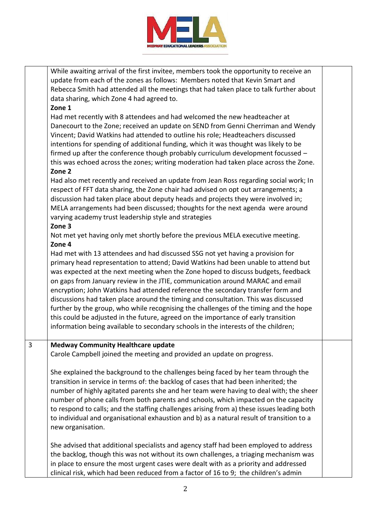

While awaiting arrival of the first invitee, members took the opportunity to receive an update from each of the zones as follows: Members noted that Kevin Smart and Rebecca Smith had attended all the meetings that had taken place to talk further about data sharing, which Zone 4 had agreed to.

### **Zone 1**

Had met recently with 8 attendees and had welcomed the new headteacher at Danecourt to the Zone; received an update on SEND from Genni Cherriman and Wendy Vincent; David Watkins had attended to outline his role; Headteachers discussed intentions for spending of additional funding, which it was thought was likely to be firmed up after the conference though probably curriculum development focussed – this was echoed across the zones; writing moderation had taken place across the Zone.

## **Zone 2**

Had also met recently and received an update from Jean Ross regarding social work; In respect of FFT data sharing, the Zone chair had advised on opt out arrangements; a discussion had taken place about deputy heads and projects they were involved in; MELA arrangements had been discussed; thoughts for the next agenda were around varying academy trust leadership style and strategies

# **Zone 3**

Not met yet having only met shortly before the previous MELA executive meeting. **Zone 4** 

Had met with 13 attendees and had discussed SSG not yet having a provision for primary head representation to attend; David Watkins had been unable to attend but was expected at the next meeting when the Zone hoped to discuss budgets, feedback on gaps from January review in the JTIE, communication around MARAC and email encryption; John Watkins had attended reference the secondary transfer form and discussions had taken place around the timing and consultation. This was discussed further by the group, who while recognising the challenges of the timing and the hope this could be adjusted in the future, agreed on the importance of early transition information being available to secondary schools in the interests of the children;

#### 3 **Medway Community Healthcare update**

Carole Campbell joined the meeting and provided an update on progress.

She explained the background to the challenges being faced by her team through the transition in service in terms of: the backlog of cases that had been inherited; the number of highly agitated parents she and her team were having to deal with; the sheer number of phone calls from both parents and schools, which impacted on the capacity to respond to calls; and the staffing challenges arising from a) these issues leading both to individual and organisational exhaustion and b) as a natural result of transition to a new organisation.

She advised that additional specialists and agency staff had been employed to address the backlog, though this was not without its own challenges, a triaging mechanism was in place to ensure the most urgent cases were dealt with as a priority and addressed clinical risk, which had been reduced from a factor of 16 to 9; the children's admin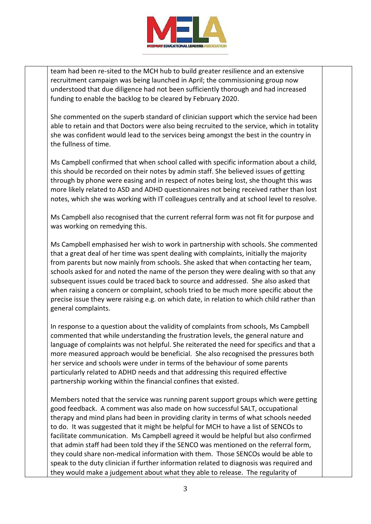

team had been re-sited to the MCH hub to build greater resilience and an extensive recruitment campaign was being launched in April; the commissioning group now understood that due diligence had not been sufficiently thorough and had increased funding to enable the backlog to be cleared by February 2020.

She commented on the superb standard of clinician support which the service had been able to retain and that Doctors were also being recruited to the service, which in totality she was confident would lead to the services being amongst the best in the country in the fullness of time.

Ms Campbell confirmed that when school called with specific information about a child, this should be recorded on their notes by admin staff. She believed issues of getting through by phone were easing and in respect of notes being lost, she thought this was more likely related to ASD and ADHD questionnaires not being received rather than lost notes, which she was working with IT colleagues centrally and at school level to resolve.

Ms Campbell also recognised that the current referral form was not fit for purpose and was working on remedying this.

Ms Campbell emphasised her wish to work in partnership with schools. She commented that a great deal of her time was spent dealing with complaints, initially the majority from parents but now mainly from schools. She asked that when contacting her team, schools asked for and noted the name of the person they were dealing with so that any subsequent issues could be traced back to source and addressed. She also asked that when raising a concern or complaint, schools tried to be much more specific about the precise issue they were raising e.g. on which date, in relation to which child rather than general complaints.

In response to a question about the validity of complaints from schools, Ms Campbell commented that while understanding the frustration levels, the general nature and language of complaints was not helpful. She reiterated the need for specifics and that a more measured approach would be beneficial. She also recognised the pressures both her service and schools were under in terms of the behaviour of some parents particularly related to ADHD needs and that addressing this required effective partnership working within the financial confines that existed.

Members noted that the service was running parent support groups which were getting good feedback. A comment was also made on how successful SALT, occupational therapy and mind plans had been in providing clarity in terms of what schools needed to do. It was suggested that it might be helpful for MCH to have a list of SENCOs to facilitate communication. Ms Campbell agreed it would be helpful but also confirmed that admin staff had been told they if the SENCO was mentioned on the referral form, they could share non-medical information with them. Those SENCOs would be able to speak to the duty clinician if further information related to diagnosis was required and they would make a judgement about what they able to release. The regularity of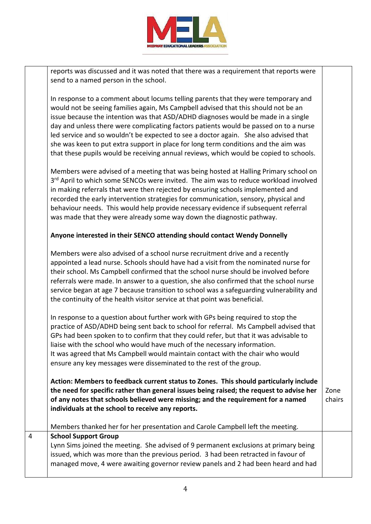

reports was discussed and it was noted that there was a requirement that reports were send to a named person in the school.

In response to a comment about locums telling parents that they were temporary and would not be seeing families again, Ms Campbell advised that this should not be an issue because the intention was that ASD/ADHD diagnoses would be made in a single day and unless there were complicating factors patients would be passed on to a nurse led service and so wouldn't be expected to see a doctor again. She also advised that she was keen to put extra support in place for long term conditions and the aim was that these pupils would be receiving annual reviews, which would be copied to schools.

Members were advised of a meeting that was being hosted at Halling Primary school on 3<sup>rd</sup> April to which some SENCOs were invited. The aim was to reduce workload involved in making referrals that were then rejected by ensuring schools implemented and recorded the early intervention strategies for communication, sensory, physical and behaviour needs. This would help provide necessary evidence if subsequent referral was made that they were already some way down the diagnostic pathway.

# **Anyone interested in their SENCO attending should contact Wendy Donnelly**

Members were also advised of a school nurse recruitment drive and a recently appointed a lead nurse. Schools should have had a visit from the nominated nurse for their school. Ms Campbell confirmed that the school nurse should be involved before referrals were made. In answer to a question, she also confirmed that the school nurse service began at age 7 because transition to school was a safeguarding vulnerability and the continuity of the health visitor service at that point was beneficial.

In response to a question about further work with GPs being required to stop the practice of ASD/ADHD being sent back to school for referral. Ms Campbell advised that GPs had been spoken to to confirm that they could refer, but that it was advisable to liaise with the school who would have much of the necessary information. It was agreed that Ms Campbell would maintain contact with the chair who would ensure any key messages were disseminated to the rest of the group.

**Action: Members to feedback current status to Zones. This should particularly include the need for specific rather than general issues being raised; the request to advise her of any notes that schools believed were missing; and the requirement for a named individuals at the school to receive any reports.**  Zone chairs

Members thanked her for her presentation and Carole Campbell left the meeting.

# 4 **School Support Group**

Lynn Sims joined the meeting. She advised of 9 permanent exclusions at primary being issued, which was more than the previous period. 3 had been retracted in favour of managed move, 4 were awaiting governor review panels and 2 had been heard and had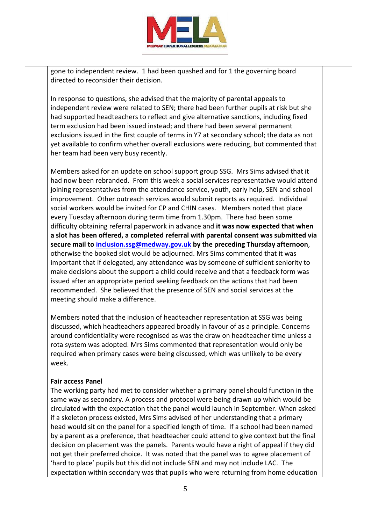

gone to independent review. 1 had been quashed and for 1 the governing board directed to reconsider their decision.

In response to questions, she advised that the majority of parental appeals to independent review were related to SEN; there had been further pupils at risk but she had supported headteachers to reflect and give alternative sanctions, including fixed term exclusion had been issued instead; and there had been several permanent exclusions issued in the first couple of terms in Y7 at secondary school; the data as not yet available to confirm whether overall exclusions were reducing, but commented that her team had been very busy recently.

Members asked for an update on school support group SSG. Mrs Sims advised that it had now been rebranded. From this week a social services representative would attend joining representatives from the attendance service, youth, early help, SEN and school improvement. Other outreach services would submit reports as required. Individual social workers would be invited for CP and CHIN cases. Members noted that place every Tuesday afternoon during term time from 1.30pm. There had been some difficulty obtaining referral paperwork in advance and **it was now expected that when a slot has been offered, a completed referral with parental consent was submitted via secure mail to [inclusion.ssg@medway.gov.uk](mailto:inclusion.ssg@medway.gov.uk) by the preceding Thursday afternoon**, otherwise the booked slot would be adjourned. Mrs Sims commented that it was important that if delegated, any attendance was by someone of sufficient seniority to make decisions about the support a child could receive and that a feedback form was issued after an appropriate period seeking feedback on the actions that had been recommended. She believed that the presence of SEN and social services at the meeting should make a difference.

Members noted that the inclusion of headteacher representation at SSG was being discussed, which headteachers appeared broadly in favour of as a principle. Concerns around confidentiality were recognised as was the draw on headteacher time unless a rota system was adopted. Mrs Sims commented that representation would only be required when primary cases were being discussed, which was unlikely to be every week.

# **Fair access Panel**

The working party had met to consider whether a primary panel should function in the same way as secondary. A process and protocol were being drawn up which would be circulated with the expectation that the panel would launch in September. When asked if a skeleton process existed, Mrs Sims advised of her understanding that a primary head would sit on the panel for a specified length of time. If a school had been named by a parent as a preference, that headteacher could attend to give context but the final decision on placement was the panels. Parents would have a right of appeal if they did not get their preferred choice. It was noted that the panel was to agree placement of 'hard to place' pupils but this did not include SEN and may not include LAC. The expectation within secondary was that pupils who were returning from home education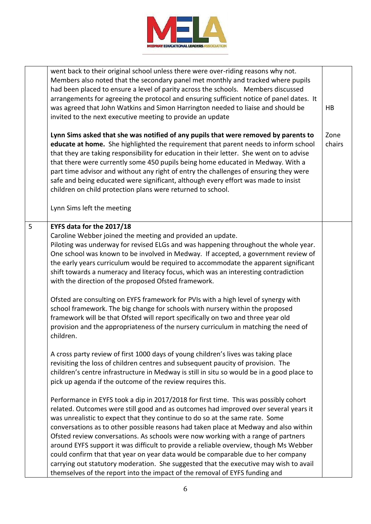

|   | went back to their original school unless there were over-riding reasons why not.<br>Members also noted that the secondary panel met monthly and tracked where pupils<br>had been placed to ensure a level of parity across the schools. Members discussed<br>arrangements for agreeing the protocol and ensuring sufficient notice of panel dates. It<br>was agreed that John Watkins and Simon Harrington needed to liaise and should be<br>invited to the next executive meeting to provide an update                                                                                                                                                                                                                                                                                       | HB             |
|---|------------------------------------------------------------------------------------------------------------------------------------------------------------------------------------------------------------------------------------------------------------------------------------------------------------------------------------------------------------------------------------------------------------------------------------------------------------------------------------------------------------------------------------------------------------------------------------------------------------------------------------------------------------------------------------------------------------------------------------------------------------------------------------------------|----------------|
|   | Lynn Sims asked that she was notified of any pupils that were removed by parents to<br>educate at home. She highlighted the requirement that parent needs to inform school<br>that they are taking responsibility for education in their letter. She went on to advise<br>that there were currently some 450 pupils being home educated in Medway. With a<br>part time advisor and without any right of entry the challenges of ensuring they were<br>safe and being educated were significant, although every effort was made to insist<br>children on child protection plans were returned to school.<br>Lynn Sims left the meeting                                                                                                                                                          | Zone<br>chairs |
| 5 | EYFS data for the 2017/18<br>Caroline Webber joined the meeting and provided an update.<br>Piloting was underway for revised ELGs and was happening throughout the whole year.<br>One school was known to be involved in Medway. If accepted, a government review of<br>the early years curriculum would be required to accommodate the apparent significant<br>shift towards a numeracy and literacy focus, which was an interesting contradiction<br>with the direction of the proposed Ofsted framework.                                                                                                                                                                                                                                                                                    |                |
|   | Ofsted are consulting on EYFS framework for PVIs with a high level of synergy with<br>school framework. The big change for schools with nursery within the proposed<br>framework will be that Ofsted will report specifically on two and three year old<br>provision and the appropriateness of the nursery curriculum in matching the need of<br>children.                                                                                                                                                                                                                                                                                                                                                                                                                                    |                |
|   | A cross party review of first 1000 days of young children's lives was taking place<br>revisiting the loss of children centres and subsequent paucity of provision. The<br>children's centre infrastructure in Medway is still in situ so would be in a good place to<br>pick up agenda if the outcome of the review requires this.                                                                                                                                                                                                                                                                                                                                                                                                                                                             |                |
|   | Performance in EYFS took a dip in 2017/2018 for first time. This was possibly cohort<br>related. Outcomes were still good and as outcomes had improved over several years it<br>was unrealistic to expect that they continue to do so at the same rate. Some<br>conversations as to other possible reasons had taken place at Medway and also within<br>Ofsted review conversations. As schools were now working with a range of partners<br>around EYFS support it was difficult to provide a reliable overview, though Ms Webber<br>could confirm that that year on year data would be comparable due to her company<br>carrying out statutory moderation. She suggested that the executive may wish to avail<br>themselves of the report into the impact of the removal of EYFS funding and |                |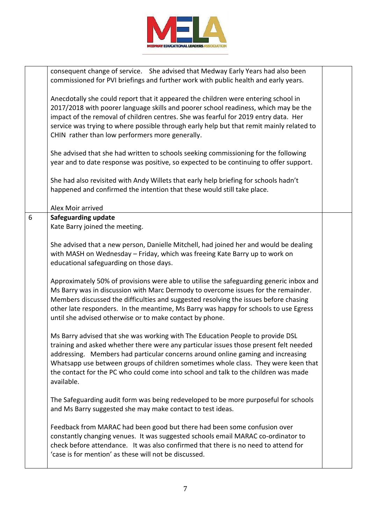

|   | consequent change of service. She advised that Medway Early Years had also been<br>commissioned for PVI briefings and further work with public health and early years.                                                                                                                                                                                                                                                                                |  |
|---|-------------------------------------------------------------------------------------------------------------------------------------------------------------------------------------------------------------------------------------------------------------------------------------------------------------------------------------------------------------------------------------------------------------------------------------------------------|--|
|   | Anecdotally she could report that it appeared the children were entering school in<br>2017/2018 with poorer language skills and poorer school readiness, which may be the<br>impact of the removal of children centres. She was fearful for 2019 entry data. Her<br>service was trying to where possible through early help but that remit mainly related to<br>CHIN rather than low performers more generally.                                       |  |
|   | She advised that she had written to schools seeking commissioning for the following<br>year and to date response was positive, so expected to be continuing to offer support.                                                                                                                                                                                                                                                                         |  |
|   | She had also revisited with Andy Willets that early help briefing for schools hadn't<br>happened and confirmed the intention that these would still take place.                                                                                                                                                                                                                                                                                       |  |
|   | Alex Moir arrived                                                                                                                                                                                                                                                                                                                                                                                                                                     |  |
| 6 | <b>Safeguarding update</b>                                                                                                                                                                                                                                                                                                                                                                                                                            |  |
|   | Kate Barry joined the meeting.                                                                                                                                                                                                                                                                                                                                                                                                                        |  |
|   |                                                                                                                                                                                                                                                                                                                                                                                                                                                       |  |
|   | She advised that a new person, Danielle Mitchell, had joined her and would be dealing                                                                                                                                                                                                                                                                                                                                                                 |  |
|   | with MASH on Wednesday - Friday, which was freeing Kate Barry up to work on                                                                                                                                                                                                                                                                                                                                                                           |  |
|   | educational safeguarding on those days.                                                                                                                                                                                                                                                                                                                                                                                                               |  |
|   | Approximately 50% of provisions were able to utilise the safeguarding generic inbox and<br>Ms Barry was in discussion with Marc Dermody to overcome issues for the remainder.<br>Members discussed the difficulties and suggested resolving the issues before chasing<br>other late responders. In the meantime, Ms Barry was happy for schools to use Egress<br>until she advised otherwise or to make contact by phone.                             |  |
|   | Ms Barry advised that she was working with The Education People to provide DSL<br>training and asked whether there were any particular issues those present felt needed<br>addressing. Members had particular concerns around online gaming and increasing<br>Whatsapp use between groups of children sometimes whole class. They were keen that<br>the contact for the PC who could come into school and talk to the children was made<br>available. |  |
|   | The Safeguarding audit form was being redeveloped to be more purposeful for schools<br>and Ms Barry suggested she may make contact to test ideas.                                                                                                                                                                                                                                                                                                     |  |
|   | Feedback from MARAC had been good but there had been some confusion over<br>constantly changing venues. It was suggested schools email MARAC co-ordinator to<br>check before attendance. It was also confirmed that there is no need to attend for<br>'case is for mention' as these will not be discussed.                                                                                                                                           |  |
|   |                                                                                                                                                                                                                                                                                                                                                                                                                                                       |  |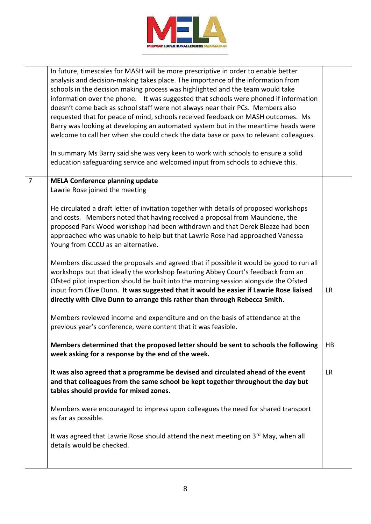

|                | In future, timescales for MASH will be more prescriptive in order to enable better<br>analysis and decision-making takes place. The importance of the information from<br>schools in the decision making process was highlighted and the team would take<br>information over the phone. It was suggested that schools were phoned if information<br>doesn't come back as school staff were not always near their PCs. Members also<br>requested that for peace of mind, schools received feedback on MASH outcomes. Ms<br>Barry was looking at developing an automated system but in the meantime heads were<br>welcome to call her when she could check the data base or pass to relevant colleagues.<br>In summary Ms Barry said she was very keen to work with schools to ensure a solid<br>education safeguarding service and welcomed input from schools to achieve this. |           |
|----------------|--------------------------------------------------------------------------------------------------------------------------------------------------------------------------------------------------------------------------------------------------------------------------------------------------------------------------------------------------------------------------------------------------------------------------------------------------------------------------------------------------------------------------------------------------------------------------------------------------------------------------------------------------------------------------------------------------------------------------------------------------------------------------------------------------------------------------------------------------------------------------------|-----------|
| $\overline{7}$ | <b>MELA Conference planning update</b><br>Lawrie Rose joined the meeting                                                                                                                                                                                                                                                                                                                                                                                                                                                                                                                                                                                                                                                                                                                                                                                                       |           |
|                | He circulated a draft letter of invitation together with details of proposed workshops<br>and costs. Members noted that having received a proposal from Maundene, the<br>proposed Park Wood workshop had been withdrawn and that Derek Bleaze had been<br>approached who was unable to help but that Lawrie Rose had approached Vanessa<br>Young from CCCU as an alternative.                                                                                                                                                                                                                                                                                                                                                                                                                                                                                                  |           |
|                | Members discussed the proposals and agreed that if possible it would be good to run all<br>workshops but that ideally the workshop featuring Abbey Court's feedback from an<br>Ofsted pilot inspection should be built into the morning session alongside the Ofsted<br>input from Clive Dunn. It was suggested that it would be easier if Lawrie Rose liaised<br>directly with Clive Dunn to arrange this rather than through Rebecca Smith.                                                                                                                                                                                                                                                                                                                                                                                                                                  | <b>LR</b> |
|                | Members reviewed income and expenditure and on the basis of attendance at the<br>previous year's conference, were content that it was feasible.                                                                                                                                                                                                                                                                                                                                                                                                                                                                                                                                                                                                                                                                                                                                |           |
|                | Members determined that the proposed letter should be sent to schools the following<br>week asking for a response by the end of the week.                                                                                                                                                                                                                                                                                                                                                                                                                                                                                                                                                                                                                                                                                                                                      | HB        |
|                | It was also agreed that a programme be devised and circulated ahead of the event<br>and that colleagues from the same school be kept together throughout the day but<br>tables should provide for mixed zones.                                                                                                                                                                                                                                                                                                                                                                                                                                                                                                                                                                                                                                                                 | <b>LR</b> |
|                | Members were encouraged to impress upon colleagues the need for shared transport<br>as far as possible.                                                                                                                                                                                                                                                                                                                                                                                                                                                                                                                                                                                                                                                                                                                                                                        |           |
|                | It was agreed that Lawrie Rose should attend the next meeting on 3rd May, when all<br>details would be checked.                                                                                                                                                                                                                                                                                                                                                                                                                                                                                                                                                                                                                                                                                                                                                                |           |
|                |                                                                                                                                                                                                                                                                                                                                                                                                                                                                                                                                                                                                                                                                                                                                                                                                                                                                                |           |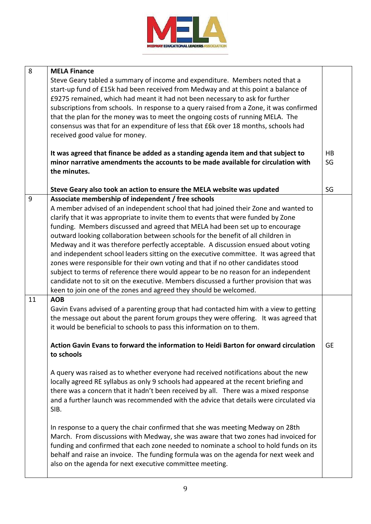

| <b>MELA Finance</b><br>Steve Geary tabled a summary of income and expenditure. Members noted that a<br>start-up fund of £15k had been received from Medway and at this point a balance of<br>£9275 remained, which had meant it had not been necessary to ask for further<br>subscriptions from schools. In response to a query raised from a Zone, it was confirmed<br>that the plan for the money was to meet the ongoing costs of running MELA. The<br>consensus was that for an expenditure of less that £6k over 18 months, schools had<br>received good value for money.                                                                                                                                                                                                                                                                                                                                             |                                                                                                                                                |
|----------------------------------------------------------------------------------------------------------------------------------------------------------------------------------------------------------------------------------------------------------------------------------------------------------------------------------------------------------------------------------------------------------------------------------------------------------------------------------------------------------------------------------------------------------------------------------------------------------------------------------------------------------------------------------------------------------------------------------------------------------------------------------------------------------------------------------------------------------------------------------------------------------------------------|------------------------------------------------------------------------------------------------------------------------------------------------|
| It was agreed that finance be added as a standing agenda item and that subject to<br>minor narrative amendments the accounts to be made available for circulation with<br>the minutes.                                                                                                                                                                                                                                                                                                                                                                                                                                                                                                                                                                                                                                                                                                                                     | <b>HB</b><br>SG                                                                                                                                |
| Steve Geary also took an action to ensure the MELA website was updated                                                                                                                                                                                                                                                                                                                                                                                                                                                                                                                                                                                                                                                                                                                                                                                                                                                     | SG                                                                                                                                             |
| Associate membership of independent / free schools<br>A member advised of an independent school that had joined their Zone and wanted to<br>clarify that it was appropriate to invite them to events that were funded by Zone<br>funding. Members discussed and agreed that MELA had been set up to encourage<br>outward looking collaboration between schools for the benefit of all children in<br>Medway and it was therefore perfectly acceptable. A discussion ensued about voting<br>and independent school leaders sitting on the executive committee. It was agreed that<br>zones were responsible for their own voting and that if no other candidates stood<br>subject to terms of reference there would appear to be no reason for an independent<br>candidate not to sit on the executive. Members discussed a further provision that was<br>keen to join one of the zones and agreed they should be welcomed. |                                                                                                                                                |
| Gavin Evans advised of a parenting group that had contacted him with a view to getting<br>the message out about the parent forum groups they were offering. It was agreed that<br>it would be beneficial to schools to pass this information on to them.<br>Action Gavin Evans to forward the information to Heidi Barton for onward circulation<br>to schools                                                                                                                                                                                                                                                                                                                                                                                                                                                                                                                                                             | <b>GE</b>                                                                                                                                      |
| locally agreed RE syllabus as only 9 schools had appeared at the recent briefing and<br>there was a concern that it hadn't been received by all. There was a mixed response<br>and a further launch was recommended with the advice that details were circulated via<br>In response to a query the chair confirmed that she was meeting Medway on 28th<br>March. From discussions with Medway, she was aware that two zones had invoiced for<br>funding and confirmed that each zone needed to nominate a school to hold funds on its<br>behalf and raise an invoice. The funding formula was on the agenda for next week and                                                                                                                                                                                                                                                                                              |                                                                                                                                                |
|                                                                                                                                                                                                                                                                                                                                                                                                                                                                                                                                                                                                                                                                                                                                                                                                                                                                                                                            | A query was raised as to whether everyone had received notifications about the new<br>also on the agenda for next executive committee meeting. |